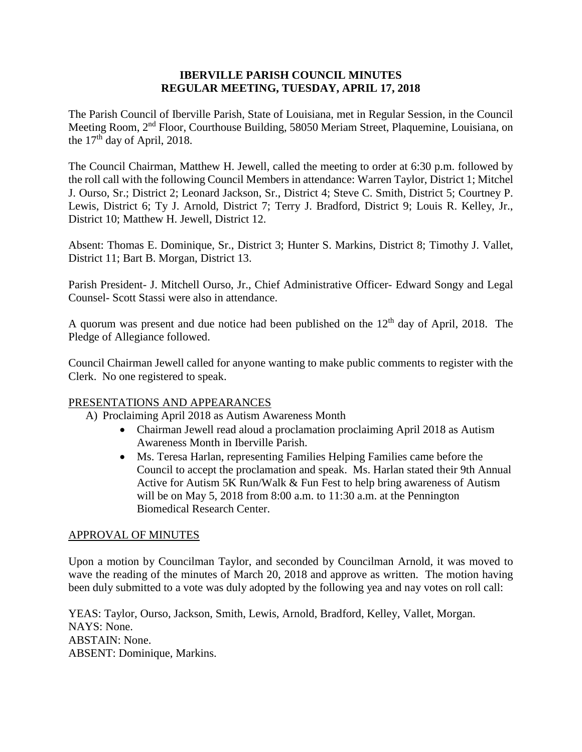### **IBERVILLE PARISH COUNCIL MINUTES REGULAR MEETING, TUESDAY, APRIL 17, 2018**

The Parish Council of Iberville Parish, State of Louisiana, met in Regular Session, in the Council Meeting Room, 2nd Floor, Courthouse Building, 58050 Meriam Street, Plaquemine, Louisiana, on the  $17<sup>th</sup>$  day of April, 2018.

The Council Chairman, Matthew H. Jewell, called the meeting to order at 6:30 p.m. followed by the roll call with the following Council Members in attendance: Warren Taylor, District 1; Mitchel J. Ourso, Sr.; District 2; Leonard Jackson, Sr., District 4; Steve C. Smith, District 5; Courtney P. Lewis, District 6; Ty J. Arnold, District 7; Terry J. Bradford, District 9; Louis R. Kelley, Jr., District 10; Matthew H. Jewell, District 12.

Absent: Thomas E. Dominique, Sr., District 3; Hunter S. Markins, District 8; Timothy J. Vallet, District 11; Bart B. Morgan, District 13.

Parish President- J. Mitchell Ourso, Jr., Chief Administrative Officer- Edward Songy and Legal Counsel- Scott Stassi were also in attendance.

A quorum was present and due notice had been published on the  $12<sup>th</sup>$  day of April, 2018. The Pledge of Allegiance followed.

Council Chairman Jewell called for anyone wanting to make public comments to register with the Clerk. No one registered to speak.

## PRESENTATIONS AND APPEARANCES

- A) Proclaiming April 2018 as Autism Awareness Month
	- Chairman Jewell read aloud a proclamation proclaiming April 2018 as Autism Awareness Month in Iberville Parish.
	- Ms. Teresa Harlan, representing Families Helping Families came before the Council to accept the proclamation and speak. Ms. Harlan stated their 9th Annual Active for Autism 5K Run/Walk & Fun Fest to help bring awareness of Autism will be on May 5, 2018 from 8:00 a.m. to 11:30 a.m. at the Pennington Biomedical Research Center.

## APPROVAL OF MINUTES

Upon a motion by Councilman Taylor, and seconded by Councilman Arnold, it was moved to wave the reading of the minutes of March 20, 2018 and approve as written. The motion having been duly submitted to a vote was duly adopted by the following yea and nay votes on roll call:

YEAS: Taylor, Ourso, Jackson, Smith, Lewis, Arnold, Bradford, Kelley, Vallet, Morgan. NAYS: None. ABSTAIN: None. ABSENT: Dominique, Markins.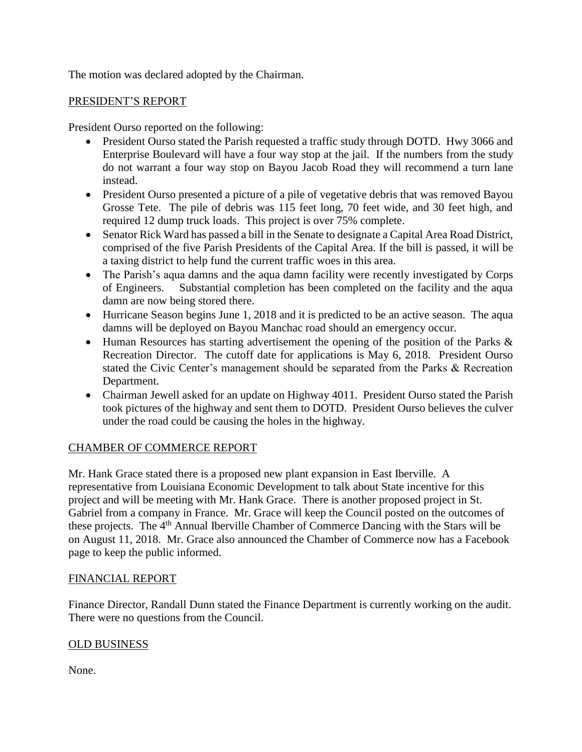The motion was declared adopted by the Chairman.

## PRESIDENT'S REPORT

President Ourso reported on the following:

- President Ourso stated the Parish requested a traffic study through DOTD. Hwy 3066 and Enterprise Boulevard will have a four way stop at the jail. If the numbers from the study do not warrant a four way stop on Bayou Jacob Road they will recommend a turn lane instead.
- President Ourso presented a picture of a pile of vegetative debris that was removed Bayou Grosse Tete. The pile of debris was 115 feet long, 70 feet wide, and 30 feet high, and required 12 dump truck loads. This project is over 75% complete.
- Senator Rick Ward has passed a bill in the Senate to designate a Capital Area Road District, comprised of the five Parish Presidents of the Capital Area. If the bill is passed, it will be a taxing district to help fund the current traffic woes in this area.
- The Parish's aqua damns and the aqua damn facility were recently investigated by Corps of Engineers. Substantial completion has been completed on the facility and the aqua damn are now being stored there.
- Hurricane Season begins June 1, 2018 and it is predicted to be an active season. The aqua damns will be deployed on Bayou Manchac road should an emergency occur.
- Human Resources has starting advertisement the opening of the position of the Parks & Recreation Director. The cutoff date for applications is May 6, 2018. President Ourso stated the Civic Center's management should be separated from the Parks & Recreation Department.
- Chairman Jewell asked for an update on Highway 4011. President Ourso stated the Parish took pictures of the highway and sent them to DOTD. President Ourso believes the culver under the road could be causing the holes in the highway.

# CHAMBER OF COMMERCE REPORT

Mr. Hank Grace stated there is a proposed new plant expansion in East Iberville. A representative from Louisiana Economic Development to talk about State incentive for this project and will be meeting with Mr. Hank Grace. There is another proposed project in St. Gabriel from a company in France. Mr. Grace will keep the Council posted on the outcomes of these projects. The 4th Annual Iberville Chamber of Commerce Dancing with the Stars will be on August 11, 2018. Mr. Grace also announced the Chamber of Commerce now has a Facebook page to keep the public informed.

## FINANCIAL REPORT

Finance Director, Randall Dunn stated the Finance Department is currently working on the audit. There were no questions from the Council.

## OLD BUSINESS

None.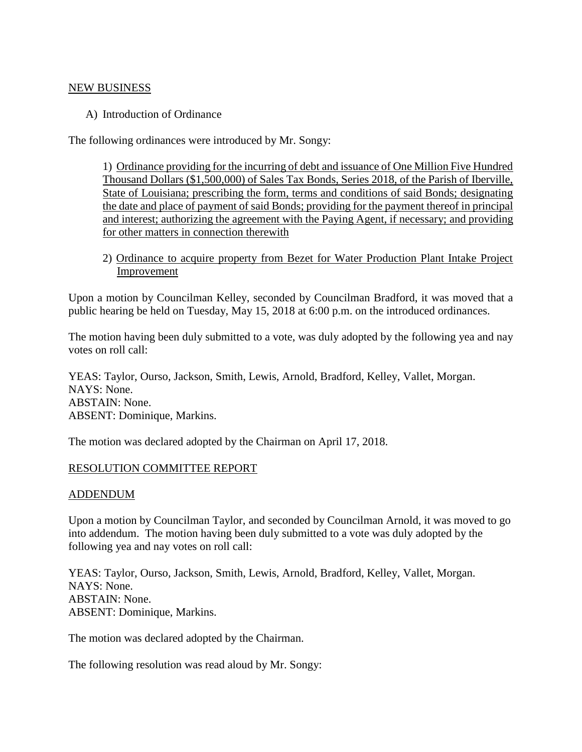#### NEW BUSINESS

A) Introduction of Ordinance

The following ordinances were introduced by Mr. Songy:

1) Ordinance providing for the incurring of debt and issuance of One Million Five Hundred Thousand Dollars (\$1,500,000) of Sales Tax Bonds, Series 2018, of the Parish of Iberville, State of Louisiana; prescribing the form, terms and conditions of said Bonds; designating the date and place of payment of said Bonds; providing for the payment thereof in principal and interest; authorizing the agreement with the Paying Agent, if necessary; and providing for other matters in connection therewith

2) Ordinance to acquire property from Bezet for Water Production Plant Intake Project Improvement

Upon a motion by Councilman Kelley, seconded by Councilman Bradford, it was moved that a public hearing be held on Tuesday, May 15, 2018 at 6:00 p.m. on the introduced ordinances.

The motion having been duly submitted to a vote, was duly adopted by the following yea and nay votes on roll call:

YEAS: Taylor, Ourso, Jackson, Smith, Lewis, Arnold, Bradford, Kelley, Vallet, Morgan. NAYS: None. ABSTAIN: None. ABSENT: Dominique, Markins.

The motion was declared adopted by the Chairman on April 17, 2018.

### RESOLUTION COMMITTEE REPORT

### ADDENDUM

Upon a motion by Councilman Taylor, and seconded by Councilman Arnold, it was moved to go into addendum. The motion having been duly submitted to a vote was duly adopted by the following yea and nay votes on roll call:

YEAS: Taylor, Ourso, Jackson, Smith, Lewis, Arnold, Bradford, Kelley, Vallet, Morgan. NAYS: None. ABSTAIN: None. ABSENT: Dominique, Markins.

The motion was declared adopted by the Chairman.

The following resolution was read aloud by Mr. Songy: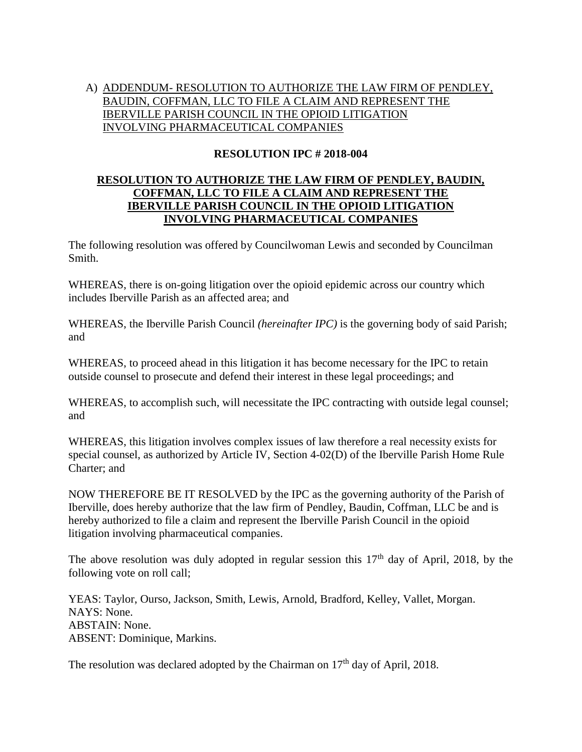# A) ADDENDUM- RESOLUTION TO AUTHORIZE THE LAW FIRM OF PENDLEY, BAUDIN, COFFMAN, LLC TO FILE A CLAIM AND REPRESENT THE IBERVILLE PARISH COUNCIL IN THE OPIOID LITIGATION INVOLVING PHARMACEUTICAL COMPANIES

# **RESOLUTION IPC # 2018-004**

## **RESOLUTION TO AUTHORIZE THE LAW FIRM OF PENDLEY, BAUDIN, COFFMAN, LLC TO FILE A CLAIM AND REPRESENT THE IBERVILLE PARISH COUNCIL IN THE OPIOID LITIGATION INVOLVING PHARMACEUTICAL COMPANIES**

The following resolution was offered by Councilwoman Lewis and seconded by Councilman Smith.

WHEREAS, there is on-going litigation over the opioid epidemic across our country which includes Iberville Parish as an affected area; and

WHEREAS, the Iberville Parish Council *(hereinafter IPC)* is the governing body of said Parish; and

WHEREAS, to proceed ahead in this litigation it has become necessary for the IPC to retain outside counsel to prosecute and defend their interest in these legal proceedings; and

WHEREAS, to accomplish such, will necessitate the IPC contracting with outside legal counsel; and

WHEREAS, this litigation involves complex issues of law therefore a real necessity exists for special counsel, as authorized by Article IV, Section 4-02(D) of the Iberville Parish Home Rule Charter; and

NOW THEREFORE BE IT RESOLVED by the IPC as the governing authority of the Parish of Iberville, does hereby authorize that the law firm of Pendley, Baudin, Coffman, LLC be and is hereby authorized to file a claim and represent the Iberville Parish Council in the opioid litigation involving pharmaceutical companies.

The above resolution was duly adopted in regular session this  $17<sup>th</sup>$  day of April, 2018, by the following vote on roll call;

YEAS: Taylor, Ourso, Jackson, Smith, Lewis, Arnold, Bradford, Kelley, Vallet, Morgan. NAYS: None. ABSTAIN: None. ABSENT: Dominique, Markins.

The resolution was declared adopted by the Chairman on  $17<sup>th</sup>$  day of April, 2018.